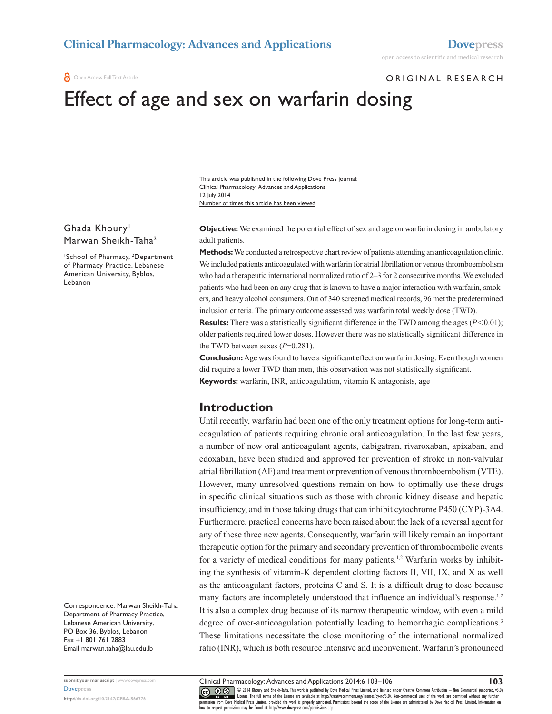**a** Open Access Full Text Article

## ORIGINAL RESEARCH

# Effect of age and sex on warfarin dosing

Number of times this article has been viewed This article was published in the following Dove Press journal: Clinical Pharmacology: Advances and Applications 12 July 2014

Ghada Khoury<sup>1</sup> Marwan Sheikh-Taha2

1 School of Pharmacy, 2 Department of Pharmacy Practice, Lebanese American University, Byblos, Lebanon

**Objective:** We examined the potential effect of sex and age on warfarin dosing in ambulatory adult patients.

**Methods:** We conducted a retrospective chart review of patients attending an anticoagulation clinic. We included patients anticoagulated with warfarin for atrial fibrillation or venous thromboembolism who had a therapeutic international normalized ratio of 2–3 for 2 consecutive months. We excluded patients who had been on any drug that is known to have a major interaction with warfarin, smokers, and heavy alcohol consumers. Out of 340 screened medical records, 96 met the predetermined inclusion criteria. The primary outcome assessed was warfarin total weekly dose (TWD).

**Results:** There was a statistically significant difference in the TWD among the ages ( $P$ <0.01); older patients required lower doses. However there was no statistically significant difference in the TWD between sexes (*P*=0.281).

**Conclusion:** Age was found to have a significant effect on warfarin dosing. Even though women did require a lower TWD than men, this observation was not statistically significant. **Keywords:** warfarin, INR, anticoagulation, vitamin K antagonists, age

# **Introduction**

Until recently, warfarin had been one of the only treatment options for long-term anticoagulation of patients requiring chronic oral anticoagulation. In the last few years, a number of new oral anticoagulant agents, dabigatran, rivaroxaban, apixaban, and edoxaban, have been studied and approved for prevention of stroke in non-valvular atrial fibrillation (AF) and treatment or prevention of venous thromboembolism (VTE). However, many unresolved questions remain on how to optimally use these drugs in specific clinical situations such as those with chronic kidney disease and hepatic insufficiency, and in those taking drugs that can inhibit cytochrome P450 (CYP)-3A4. Furthermore, practical concerns have been raised about the lack of a reversal agent for any of these three new agents. Consequently, warfarin will likely remain an important therapeutic option for the primary and secondary prevention of thromboembolic events for a variety of medical conditions for many patients.<sup>1,2</sup> Warfarin works by inhibiting the synthesis of vitamin-K dependent clotting factors II, VII, IX, and X as well as the anticoagulant factors, proteins C and S. It is a difficult drug to dose because many factors are incompletely understood that influence an individual's response.<sup>1,2</sup> It is also a complex drug because of its narrow therapeutic window, with even a mild degree of over-anticoagulation potentially leading to hemorrhagic complications.<sup>3</sup> These limitations necessitate the close monitoring of the international normalized ratio (INR), which is both resource intensive and inconvenient. Warfarin's pronounced

Correspondence: Marwan Sheikh-Taha Department of Pharmacy Practice, Lebanese American University, PO Box 36, Byblos, Lebanon Fax +1 801 761 2883 Email [marwan.taha@lau.edu.lb](mailto:marwan.taha@lau.edu.lb)

**submit your manuscript** | <www.dovepress.com> **[Dovepress](www.dovepress.com)**

**<http://dx.doi.org/10.2147/CPAA.S66776>**

Clinical Pharmacology: Advances and Applications 2014:6 103–106

**103**

CO ODI4 Khoury and Sheikh-Taha. This work is published by Dove Medical Press Limited, and licensed under Creative Commons Attribution - Non Commercial (unported, v3.0)<br> [permission from Dove M](http://www.dovepress.com/permissions.php)edical Press Limited, provided how to request permission may be found at: http://www.dovepress.com/permissions.php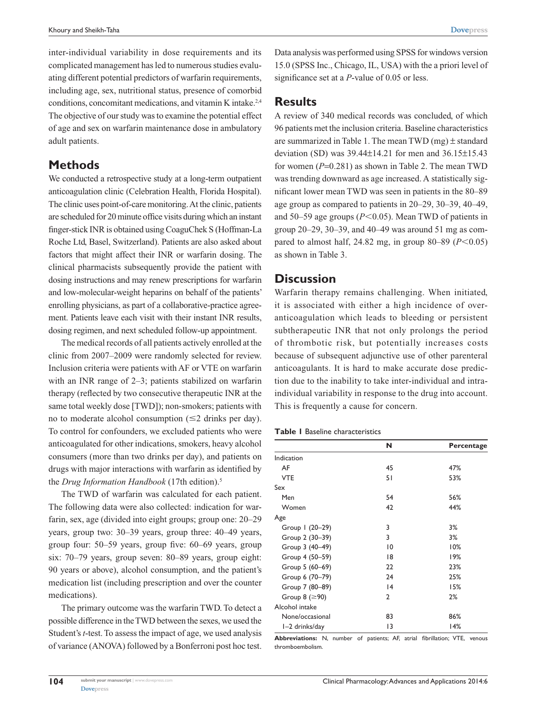inter-individual variability in dose requirements and its complicated management has led to numerous studies evaluating different potential predictors of warfarin requirements, including age, sex, nutritional status, presence of comorbid conditions, concomitant medications, and vitamin K intake.2,4 The objective of our study was to examine the potential effect of age and sex on warfarin maintenance dose in ambulatory adult patients.

# **Methods**

We conducted a retrospective study at a long-term outpatient anticoagulation clinic (Celebration Health, Florida Hospital). The clinic uses point-of-care monitoring. At the clinic, patients are scheduled for 20 minute office visits during which an instant finger-stick INR is obtained using CoaguChek S (Hoffman-La Roche Ltd, Basel, Switzerland). Patients are also asked about factors that might affect their INR or warfarin dosing. The clinical pharmacists subsequently provide the patient with dosing instructions and may renew prescriptions for warfarin and low-molecular-weight heparins on behalf of the patients' enrolling physicians, as part of a collaborative-practice agreement. Patients leave each visit with their instant INR results, dosing regimen, and next scheduled follow-up appointment.

The medical records of all patients actively enrolled at the clinic from 2007–2009 were randomly selected for review. Inclusion criteria were patients with AF or VTE on warfarin with an INR range of 2–3; patients stabilized on warfarin therapy (reflected by two consecutive therapeutic INR at the same total weekly dose [TWD]); non-smokers; patients with no to moderate alcohol consumption  $(\leq 2$  drinks per day). To control for confounders, we excluded patients who were anticoagulated for other indications, smokers, heavy alcohol consumers (more than two drinks per day), and patients on drugs with major interactions with warfarin as identified by the *Drug Information Handbook* (17th edition).5

The TWD of warfarin was calculated for each patient. The following data were also collected: indication for warfarin, sex, age (divided into eight groups; group one: 20–29 years, group two: 30–39 years, group three: 40–49 years, group four: 50–59 years, group five: 60–69 years, group six: 70–79 years, group seven: 80–89 years, group eight: 90 years or above), alcohol consumption, and the patient's medication list (including prescription and over the counter medications).

The primary outcome was the warfarin TWD. To detect a possible difference in the TWD between the sexes, we used the Student's *t*-test. To assess the impact of age, we used analysis of variance (ANOVA) followed by a Bonferroni post hoc test.

## **Results**

A review of 340 medical records was concluded, of which 96 patients met the inclusion criteria. Baseline characteristics are summarized in Table 1. The mean TWD (mg)  $\pm$  standard deviation (SD) was 39.44±14.21 for men and 36.15±15.43 for women (*P*=0.281) as shown in Table 2. The mean TWD was trending downward as age increased. A statistically significant lower mean TWD was seen in patients in the 80–89 age group as compared to patients in 20–29, 30–39, 40–49, and 50–59 age groups  $(P<0.05)$ . Mean TWD of patients in group 20–29, 30–39, and 40–49 was around 51 mg as compared to almost half, 24.82 mg, in group  $80-89$  ( $P < 0.05$ ) as shown in Table 3.

# **Discussion**

Warfarin therapy remains challenging. When initiated, it is associated with either a high incidence of overanticoagulation which leads to bleeding or persistent subtherapeutic INR that not only prolongs the period of thrombotic risk, but potentially increases costs because of subsequent adjunctive use of other parenteral anticoagulants. It is hard to make accurate dose prediction due to the inability to take inter-individual and intraindividual variability in response to the drug into account. This is frequently a cause for concern.

## **Table 1** Baseline characteristics

|                        | N               | Percentage |
|------------------------|-----------------|------------|
| Indication             |                 |            |
| AF                     | 45              | 47%        |
| <b>VTE</b>             | 51              | 53%        |
| Sex                    |                 |            |
| Men                    | 54              | 56%        |
| Women                  | 42              | 44%        |
| Age                    |                 |            |
| Group 1 (20-29)        | 3               | 3%         |
| Group 2 (30-39)        | 3               | 3%         |
| Group 3 (40-49)        | $\overline{10}$ | 10%        |
| Group 4 (50-59)        | 18              | 19%        |
| Group 5 (60-69)        | 22              | 23%        |
| Group 6 (70-79)        | 24              | 25%        |
| Group 7 (80-89)        | 4               | 15%        |
| Group $8$ ( $\geq$ 90) | 2               | 2%         |
| Alcohol intake         |                 |            |
| None/occasional        | 83              | 86%        |
| I-2 drinks/day         | 13              | 14%        |

**Abbreviations:** N, number of patients; AF, atrial fibrillation; VTE, venous thromboembolism.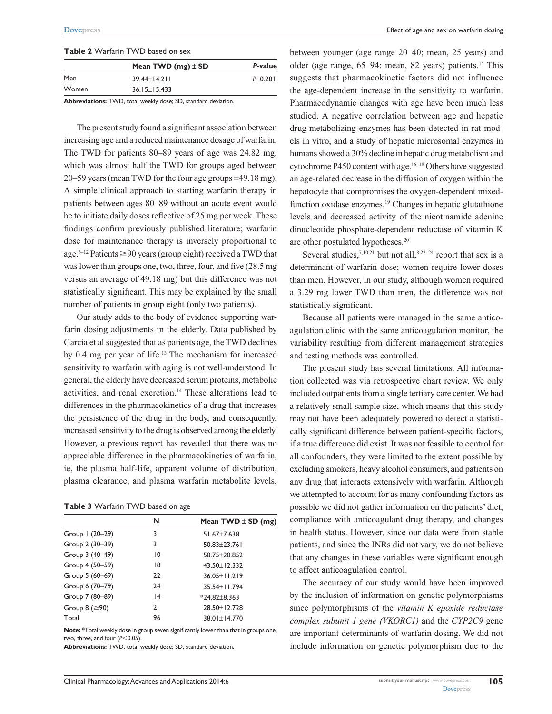#### **Table 2** Warfarin TWD based on sex

|       | Mean TWD $(mg)$ ± SD | P-value   |
|-------|----------------------|-----------|
| Men   | $39.44 \pm 14.211$   | $P=0.281$ |
| Women | $36.15 \pm 15.433$   |           |

**Abbreviations:** TWD, total weekly dose; SD, standard deviation.

The present study found a significant association between increasing age and a reduced maintenance dosage of warfarin. The TWD for patients 80–89 years of age was 24.82 mg, which was almost half the TWD for groups aged between 20–59 years (mean TWD for the four age groups =49.18 mg). A simple clinical approach to starting warfarin therapy in patients between ages 80–89 without an acute event would be to initiate daily doses reflective of 25 mg per week. These findings confirm previously published literature; warfarin dose for maintenance therapy is inversely proportional to age.<sup>6–12</sup> Patients  $\geq$ 90 years (group eight) received a TWD that was lower than groups one, two, three, four, and five (28.5 mg versus an average of 49.18 mg) but this difference was not statistically significant. This may be explained by the small number of patients in group eight (only two patients).

Our study adds to the body of evidence supporting warfarin dosing adjustments in the elderly. Data published by Garcia et al suggested that as patients age, the TWD declines by 0.4 mg per year of life.13 The mechanism for increased sensitivity to warfarin with aging is not well-understood. In general, the elderly have decreased serum proteins, metabolic activities, and renal excretion.14 These alterations lead to differences in the pharmacokinetics of a drug that increases the persistence of the drug in the body, and consequently, increased sensitivity to the drug is observed among the elderly. However, a previous report has revealed that there was no appreciable difference in the pharmacokinetics of warfarin, ie, the plasma half-life, apparent volume of distribution, plasma clearance, and plasma warfarin metabolite levels,

#### **Table 3** Warfarin TWD based on age

|                        | N               | Mean TWD $\pm$ SD (mg) |
|------------------------|-----------------|------------------------|
| Group 1 (20-29)        | 3               | $51.67 + 7.638$        |
| Group 2 (30-39)        | 3               | $50.83 + 23.761$       |
| Group 3 (40-49)        | $\overline{10}$ | 50.75 + 20.852         |
| Group 4 (50-59)        | 18              | 43.50 ± 12.332         |
| Group 5 (60-69)        | 22              | $36.05 \pm 11.219$     |
| Group 6 (70-79)        | 24              | 35.54 + 11.794         |
| Group 7 (80-89)        | 4               | $*24.82 \pm 8.363$     |
| Group $8$ ( $\geq$ 90) | 2               | 28.50 ± 12.728         |
| Total                  | 96              | 38.01±14.770           |

**Note:** \*Total weekly dose in group seven significantly lower than that in groups one, two, three, and four  $(P<0.05)$ .

**Abbreviations:** TWD, total weekly dose; SD, standard deviation.

between younger (age range 20–40; mean, 25 years) and older (age range,  $65-94$ ; mean,  $82$  years) patients.<sup>15</sup> This suggests that pharmacokinetic factors did not influence the age-dependent increase in the sensitivity to warfarin. Pharmacodynamic changes with age have been much less studied. A negative correlation between age and hepatic drug-metabolizing enzymes has been detected in rat models in vitro, and a study of hepatic microsomal enzymes in humans showed a 30% decline in hepatic drug metabolism and cytochrome P450 content with age.<sup>16–18</sup> Others have suggested an age-related decrease in the diffusion of oxygen within the hepatocyte that compromises the oxygen-dependent mixedfunction oxidase enzymes.<sup>19</sup> Changes in hepatic glutathione levels and decreased activity of the nicotinamide adenine dinucleotide phosphate-dependent reductase of vitamin K are other postulated hypotheses.20

Several studies,<sup>7,10,21</sup> but not all, $8,22-24$  report that sex is a determinant of warfarin dose; women require lower doses than men. However, in our study, although women required a 3.29 mg lower TWD than men, the difference was not statistically significant.

Because all patients were managed in the same anticoagulation clinic with the same anticoagulation monitor, the variability resulting from different management strategies and testing methods was controlled.

The present study has several limitations. All information collected was via retrospective chart review. We only included outpatients from a single tertiary care center. We had a relatively small sample size, which means that this study may not have been adequately powered to detect a statistically significant difference between patient-specific factors, if a true difference did exist. It was not feasible to control for all confounders, they were limited to the extent possible by excluding smokers, heavy alcohol consumers, and patients on any drug that interacts extensively with warfarin. Although we attempted to account for as many confounding factors as possible we did not gather information on the patients' diet, compliance with anticoagulant drug therapy, and changes in health status. However, since our data were from stable patients, and since the INRs did not vary, we do not believe that any changes in these variables were significant enough to affect anticoagulation control.

The accuracy of our study would have been improved by the inclusion of information on genetic polymorphisms since polymorphisms of the *vitamin K epoxide reductase complex subunit 1 gene (VKORC1)* and the *CYP2C9* gene are important determinants of warfarin dosing. We did not include information on genetic polymorphism due to the